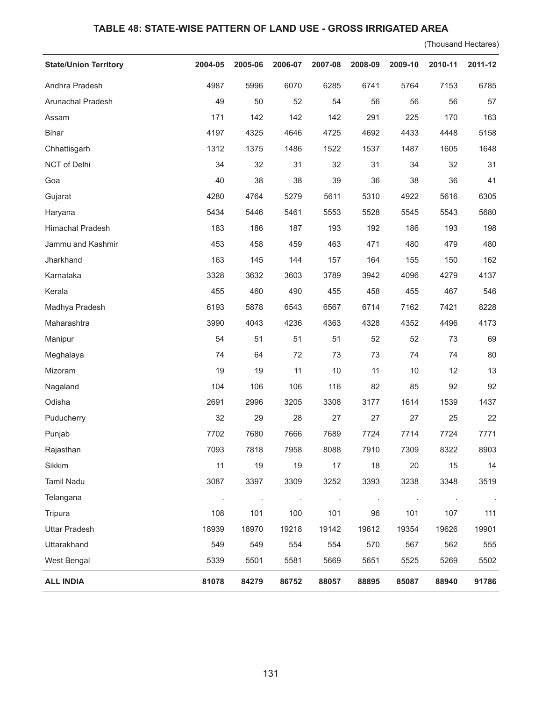## **TABLE 48: STATE-WISE PATTERN OF LAND USE - GROSS IRRIGATED AREA**

(Thousand Hectares)

| <b>State/Union Territory</b> | 2004-05 | 2005-06 | 2006-07 | 2007-08 | 2008-09 | 2009-10 | 2010-11 | 2011-12 |
|------------------------------|---------|---------|---------|---------|---------|---------|---------|---------|
| Andhra Pradesh               | 4987    | 5996    | 6070    | 6285    | 6741    | 5764    | 7153    | 6785    |
| Arunachal Pradesh            | 49      | 50      | 52      | 54      | 56      | 56      | 56      | 57      |
| Assam                        | 171     | 142     | 142     | 142     | 291     | 225     | 170     | 163     |
| <b>Bihar</b>                 | 4197    | 4325    | 4646    | 4725    | 4692    | 4433    | 4448    | 5158    |
| Chhattisgarh                 | 1312    | 1375    | 1486    | 1522    | 1537    | 1487    | 1605    | 1648    |
| NCT of Delhi                 | 34      | 32      | 31      | 32      | 31      | 34      | 32      | 31      |
| Goa                          | 40      | 38      | 38      | 39      | 36      | 38      | 36      | 41      |
| Gujarat                      | 4280    | 4764    | 5279    | 5611    | 5310    | 4922    | 5616    | 6305    |
| Haryana                      | 5434    | 5446    | 5461    | 5553    | 5528    | 5545    | 5543    | 5680    |
| Himachal Pradesh             | 183     | 186     | 187     | 193     | 192     | 186     | 193     | 198     |
| Jammu and Kashmir            | 453     | 458     | 459     | 463     | 471     | 480     | 479     | 480     |
| Jharkhand                    | 163     | 145     | 144     | 157     | 164     | 155     | 150     | 162     |
| Karnataka                    | 3328    | 3632    | 3603    | 3789    | 3942    | 4096    | 4279    | 4137    |
| Kerala                       | 455     | 460     | 490     | 455     | 458     | 455     | 467     | 546     |
| Madhya Pradesh               | 6193    | 5878    | 6543    | 6567    | 6714    | 7162    | 7421    | 8228    |
| Maharashtra                  | 3990    | 4043    | 4236    | 4363    | 4328    | 4352    | 4496    | 4173    |
| Manipur                      | 54      | 51      | 51      | 51      | 52      | 52      | 73      | 69      |
| Meghalaya                    | 74      | 64      | 72      | 73      | 73      | 74      | 74      | 80      |
| Mizoram                      | 19      | 19      | 11      | $10$    | 11      | 10      | 12      | 13      |
| Nagaland                     | 104     | 106     | 106     | 116     | 82      | 85      | 92      | 92      |
| Odisha                       | 2691    | 2996    | 3205    | 3308    | 3177    | 1614    | 1539    | 1437    |
| Puducherry                   | 32      | 29      | 28      | 27      | 27      | 27      | 25      | 22      |
| Punjab                       | 7702    | 7680    | 7666    | 7689    | 7724    | 7714    | 7724    | 7771    |
| Rajasthan                    | 7093    | 7818    | 7958    | 8088    | 7910    | 7309    | 8322    | 8903    |
| Sikkim                       | 11      | 19      | 19      | 17      | 18      | 20      | 15      | 14      |
| <b>Tamil Nadu</b>            | 3087    | 3397    | 3309    | 3252    | 3393    | 3238    | 3348    | 3519    |
| Telangana                    |         |         | $\cdot$ |         |         | ÷,      | $\cdot$ | $\sim$  |
| Tripura                      | 108     | 101     | 100     | 101     | 96      | 101     | 107     | 111     |
| <b>Uttar Pradesh</b>         | 18939   | 18970   | 19218   | 19142   | 19612   | 19354   | 19626   | 19901   |
| Uttarakhand                  | 549     | 549     | 554     | 554     | 570     | 567     | 562     | 555     |
| West Bengal                  | 5339    | 5501    | 5581    | 5669    | 5651    | 5525    | 5269    | 5502    |
| <b>ALL INDIA</b>             | 81078   | 84279   | 86752   | 88057   | 88895   | 85087   | 88940   | 91786   |